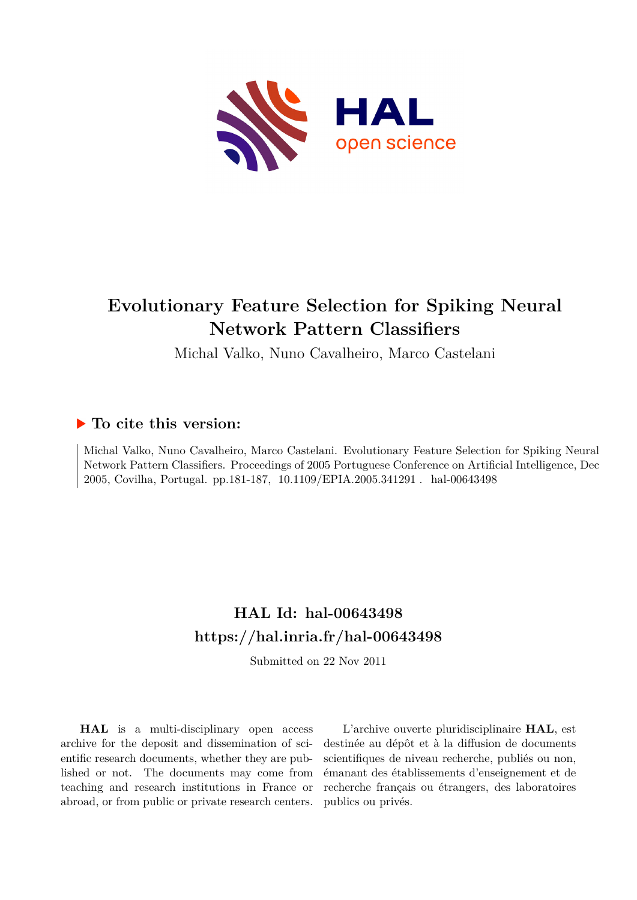

## **Evolutionary Feature Selection for Spiking Neural Network Pattern Classifiers**

Michal Valko, Nuno Cavalheiro, Marco Castelani

### **To cite this version:**

Michal Valko, Nuno Cavalheiro, Marco Castelani. Evolutionary Feature Selection for Spiking Neural Network Pattern Classifiers. Proceedings of 2005 Portuguese Conference on Artificial Intelligence, Dec 2005, Covilha, Portugal. pp.181-187, 10.1109/EPIA.2005.341291. hal-00643498

## **HAL Id: hal-00643498 <https://hal.inria.fr/hal-00643498>**

Submitted on 22 Nov 2011

**HAL** is a multi-disciplinary open access archive for the deposit and dissemination of scientific research documents, whether they are published or not. The documents may come from teaching and research institutions in France or abroad, or from public or private research centers.

L'archive ouverte pluridisciplinaire **HAL**, est destinée au dépôt et à la diffusion de documents scientifiques de niveau recherche, publiés ou non, émanant des établissements d'enseignement et de recherche français ou étrangers, des laboratoires publics ou privés.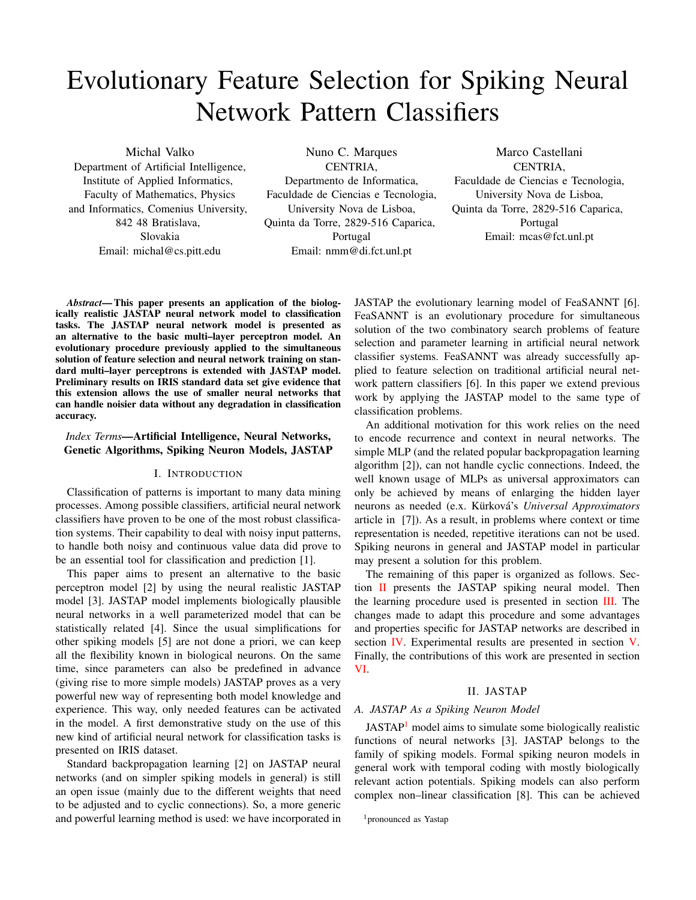# Evolutionary Feature Selection for Spiking Neural Network Pattern Classifiers

Michal Valko

Department of Artificial Intelligence, Institute of Applied Informatics, Faculty of Mathematics, Physics and Informatics, Comenius University, 842 48 Bratislava, Slovakia Email: michal@cs.pitt.edu

Nuno C. Marques CENTRIA, Departmento de Informatica, Faculdade de Ciencias e Tecnologia, University Nova de Lisboa, Quinta da Torre, 2829-516 Caparica, Portugal Email: nmm@di.fct.unl.pt

Marco Castellani CENTRIA, Faculdade de Ciencias e Tecnologia, University Nova de Lisboa, Quinta da Torre, 2829-516 Caparica, Portugal Email: mcas@fct.unl.pt

*Abstract*— This paper presents an application of the biologically realistic JASTAP neural network model to classification tasks. The JASTAP neural network model is presented as an alternative to the basic multi–layer perceptron model. An evolutionary procedure previously applied to the simultaneous solution of feature selection and neural network training on standard multi–layer perceptrons is extended with JASTAP model. Preliminary results on IRIS standard data set give evidence that this extension allows the use of smaller neural networks that can handle noisier data without any degradation in classification accuracy.

#### *Index Terms*—Artificial Intelligence, Neural Networks, Genetic Algorithms, Spiking Neuron Models, JASTAP

#### I. INTRODUCTION

Classification of patterns is important to many data mining processes. Among possible classifiers, artificial neural network classifiers have proven to be one of the most robust classification systems. Their capability to deal with noisy input patterns, to handle both noisy and continuous value data did prove to be an essential tool for classification and prediction [1].

This paper aims to present an alternative to the basic perceptron model [2] by using the neural realistic JASTAP model [3]. JASTAP model implements biologically plausible neural networks in a well parameterized model that can be statistically related [4]. Since the usual simplifications for other spiking models [5] are not done a priori, we can keep all the flexibility known in biological neurons. On the same time, since parameters can also be predefined in advance (giving rise to more simple models) JASTAP proves as a very powerful new way of representing both model knowledge and experience. This way, only needed features can be activated in the model. A first demonstrative study on the use of this new kind of artificial neural network for classification tasks is presented on IRIS dataset.

Standard backpropagation learning [2] on JASTAP neural networks (and on simpler spiking models in general) is still an open issue (mainly due to the different weights that need to be adjusted and to cyclic connections). So, a more generic and powerful learning method is used: we have incorporated in

JASTAP the evolutionary learning model of FeaSANNT [6]. FeaSANNT is an evolutionary procedure for simultaneous solution of the two combinatory search problems of feature selection and parameter learning in artificial neural network classifier systems. FeaSANNT was already successfully applied to feature selection on traditional artificial neural network pattern classifiers [6]. In this paper we extend previous work by applying the JASTAP model to the same type of classification problems.

An additional motivation for this work relies on the need to encode recurrence and context in neural networks. The simple MLP (and the related popular backpropagation learning algorithm [2]), can not handle cyclic connections. Indeed, the well known usage of MLPs as universal approximators can only be achieved by means of enlarging the hidden layer neurons as needed (e.x. Kürková's *Universal Approximators* article in [7]). As a result, in problems where context or time representation is needed, repetitive iterations can not be used. Spiking neurons in general and JASTAP model in particular may present a solution for this problem.

The remaining of this paper is organized as follows. Section [II](#page-1-0) presents the JASTAP spiking neural model. Then the learning procedure used is presented in section [III.](#page-2-0) The changes made to adapt this procedure and some advantages and properties specific for JASTAP networks are described in section [IV.](#page-4-0) Experimental results are presented in section [V.](#page-5-0) Finally, the contributions of this work are presented in section [VI.](#page-6-0)

#### II. JASTAP

#### <span id="page-1-0"></span>*A. JASTAP As a Spiking Neuron Model*

JASTAP<sup>[1](#page-1-1)</sup> model aims to simulate some biologically realistic functions of neural networks [3]. JASTAP belongs to the family of spiking models. Formal spiking neuron models in general work with temporal coding with mostly biologically relevant action potentials. Spiking models can also perform complex non–linear classification [8]. This can be achieved

<span id="page-1-1"></span><sup>&</sup>lt;sup>1</sup>pronounced as Yastap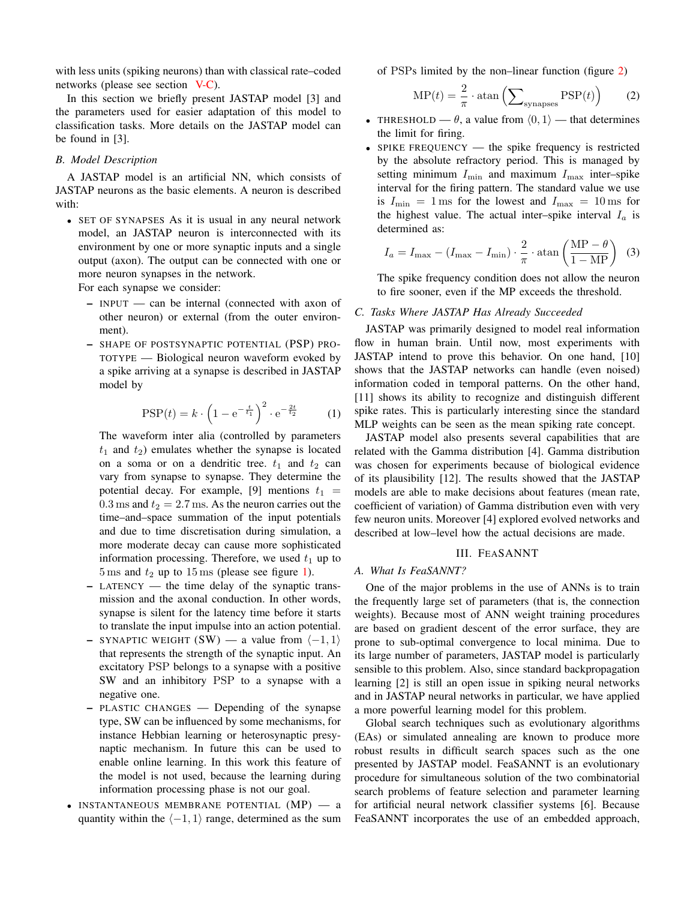with less units (spiking neurons) than with classical rate–coded networks (please see section [V-C\)](#page-5-1).

In this section we briefly present JASTAP model [3] and the parameters used for easier adaptation of this model to classification tasks. More details on the JASTAP model can be found in [3].

#### *B. Model Description*

A JASTAP model is an artificial NN, which consists of JASTAP neurons as the basic elements. A neuron is described with:

• SET OF SYNAPSES As it is usual in any neural network model, an JASTAP neuron is interconnected with its environment by one or more synaptic inputs and a single output (axon). The output can be connected with one or more neuron synapses in the network.

For each synapse we consider:

- INPUT can be internal (connected with axon of other neuron) or external (from the outer environment).
- SHAPE OF POSTSYNAPTIC POTENTIAL (PSP) PRO-TOTYPE — Biological neuron waveform evoked by a spike arriving at a synapse is described in JASTAP model by

$$
PSP(t) = k \cdot \left(1 - e^{-\frac{t}{t_1}}\right)^2 \cdot e^{-\frac{2t}{t_2}} \tag{1}
$$

The waveform inter alia (controlled by parameters  $t_1$  and  $t_2$ ) emulates whether the synapse is located on a soma or on a dendritic tree.  $t_1$  and  $t_2$  can vary from synapse to synapse. They determine the potential decay. For example, [9] mentions  $t_1$  =  $0.3 \text{ ms}$  and  $t_2 = 2.7 \text{ ms}$ . As the neuron carries out the time–and–space summation of the input potentials and due to time discretisation during simulation, a more moderate decay can cause more sophisticated information processing. Therefore, we used  $t_1$  up to  $5 \text{ ms}$  and  $t_2$  up to  $15 \text{ ms}$  (please see figure [1\)](#page-3-0).

- LATENCY the time delay of the synaptic transmission and the axonal conduction. In other words, synapse is silent for the latency time before it starts to translate the input impulse into an action potential.
- SYNAPTIC WEIGHT (SW) a value from  $\langle -1, 1 \rangle$ that represents the strength of the synaptic input. An excitatory PSP belongs to a synapse with a positive SW and an inhibitory PSP to a synapse with a negative one.
- PLASTIC CHANGES Depending of the synapse type, SW can be influenced by some mechanisms, for instance Hebbian learning or heterosynaptic presynaptic mechanism. In future this can be used to enable online learning. In this work this feature of the model is not used, because the learning during information processing phase is not our goal.
- INSTANTANEOUS MEMBRANE POTENTIAL (MP) a quantity within the  $\langle -1, 1 \rangle$  range, determined as the sum

of PSPs limited by the non–linear function (figure [2\)](#page-3-1)

$$
MP(t) = \frac{2}{\pi} \cdot \operatorname{atan} \left( \sum_{\text{synapses}} PSP(t) \right) \tag{2}
$$

- THRESHOLD  $\theta$ , a value from  $\langle 0, 1 \rangle$  that determines the limit for firing.
- SPIKE FREQUENCY the spike frequency is restricted by the absolute refractory period. This is managed by setting minimum  $I_{\min}$  and maximum  $I_{\max}$  inter–spike interval for the firing pattern. The standard value we use is  $I_{\min} = 1$  ms for the lowest and  $I_{\max} = 10$  ms for the highest value. The actual inter–spike interval  $I_a$  is determined as:

$$
I_a = I_{\text{max}} - (I_{\text{max}} - I_{\text{min}}) \cdot \frac{2}{\pi} \cdot \operatorname{atan}\left(\frac{\text{MP} - \theta}{1 - \text{MP}}\right) \tag{3}
$$

The spike frequency condition does not allow the neuron to fire sooner, even if the MP exceeds the threshold.

#### *C. Tasks Where JASTAP Has Already Succeeded*

JASTAP was primarily designed to model real information flow in human brain. Until now, most experiments with JASTAP intend to prove this behavior. On one hand, [10] shows that the JASTAP networks can handle (even noised) information coded in temporal patterns. On the other hand, [11] shows its ability to recognize and distinguish different spike rates. This is particularly interesting since the standard MLP weights can be seen as the mean spiking rate concept.

JASTAP model also presents several capabilities that are related with the Gamma distribution [4]. Gamma distribution was chosen for experiments because of biological evidence of its plausibility [12]. The results showed that the JASTAP models are able to make decisions about features (mean rate, coefficient of variation) of Gamma distribution even with very few neuron units. Moreover [4] explored evolved networks and described at low–level how the actual decisions are made.

#### III. FEASANNT

#### <span id="page-2-0"></span>*A. What Is FeaSANNT?*

One of the major problems in the use of ANNs is to train the frequently large set of parameters (that is, the connection weights). Because most of ANN weight training procedures are based on gradient descent of the error surface, they are prone to sub-optimal convergence to local minima. Due to its large number of parameters, JASTAP model is particularly sensible to this problem. Also, since standard backpropagation learning [2] is still an open issue in spiking neural networks and in JASTAP neural networks in particular, we have applied a more powerful learning model for this problem.

Global search techniques such as evolutionary algorithms (EAs) or simulated annealing are known to produce more robust results in difficult search spaces such as the one presented by JASTAP model. FeaSANNT is an evolutionary procedure for simultaneous solution of the two combinatorial search problems of feature selection and parameter learning for artificial neural network classifier systems [6]. Because FeaSANNT incorporates the use of an embedded approach,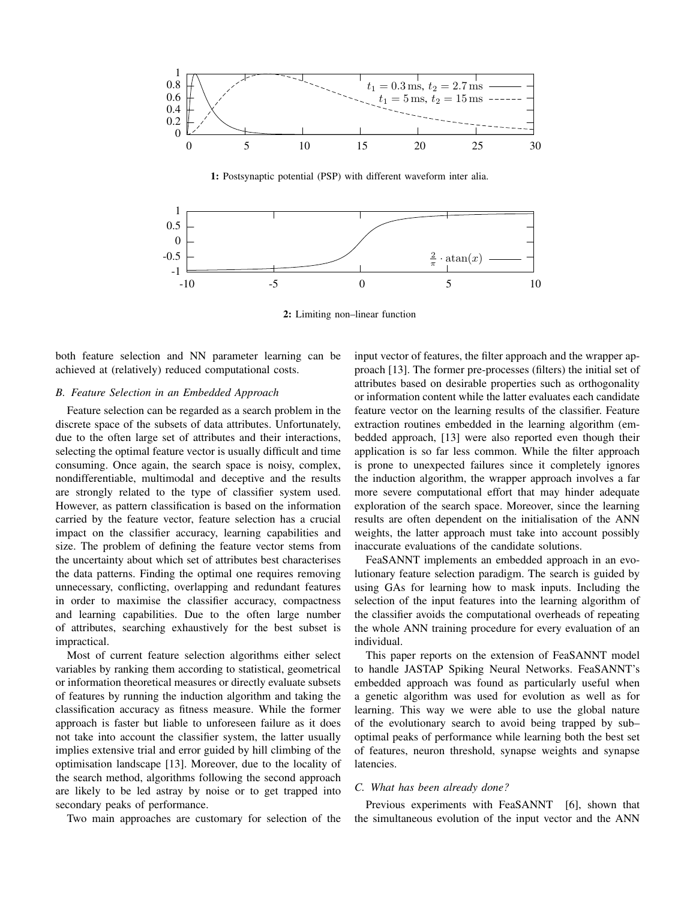

<span id="page-3-0"></span>1: Postsynaptic potential (PSP) with different waveform inter alia.



<span id="page-3-1"></span>2: Limiting non–linear function

both feature selection and NN parameter learning can be achieved at (relatively) reduced computational costs.

#### *B. Feature Selection in an Embedded Approach*

Feature selection can be regarded as a search problem in the discrete space of the subsets of data attributes. Unfortunately, due to the often large set of attributes and their interactions, selecting the optimal feature vector is usually difficult and time consuming. Once again, the search space is noisy, complex, nondifferentiable, multimodal and deceptive and the results are strongly related to the type of classifier system used. However, as pattern classification is based on the information carried by the feature vector, feature selection has a crucial impact on the classifier accuracy, learning capabilities and size. The problem of defining the feature vector stems from the uncertainty about which set of attributes best characterises the data patterns. Finding the optimal one requires removing unnecessary, conflicting, overlapping and redundant features in order to maximise the classifier accuracy, compactness and learning capabilities. Due to the often large number of attributes, searching exhaustively for the best subset is impractical.

Most of current feature selection algorithms either select variables by ranking them according to statistical, geometrical or information theoretical measures or directly evaluate subsets of features by running the induction algorithm and taking the classification accuracy as fitness measure. While the former approach is faster but liable to unforeseen failure as it does not take into account the classifier system, the latter usually implies extensive trial and error guided by hill climbing of the optimisation landscape [13]. Moreover, due to the locality of the search method, algorithms following the second approach are likely to be led astray by noise or to get trapped into secondary peaks of performance.

Two main approaches are customary for selection of the

input vector of features, the filter approach and the wrapper approach [13]. The former pre-processes (filters) the initial set of attributes based on desirable properties such as orthogonality or information content while the latter evaluates each candidate feature vector on the learning results of the classifier. Feature extraction routines embedded in the learning algorithm (embedded approach, [13] were also reported even though their application is so far less common. While the filter approach is prone to unexpected failures since it completely ignores the induction algorithm, the wrapper approach involves a far more severe computational effort that may hinder adequate exploration of the search space. Moreover, since the learning results are often dependent on the initialisation of the ANN weights, the latter approach must take into account possibly inaccurate evaluations of the candidate solutions.

FeaSANNT implements an embedded approach in an evolutionary feature selection paradigm. The search is guided by using GAs for learning how to mask inputs. Including the selection of the input features into the learning algorithm of the classifier avoids the computational overheads of repeating the whole ANN training procedure for every evaluation of an individual.

This paper reports on the extension of FeaSANNT model to handle JASTAP Spiking Neural Networks. FeaSANNT's embedded approach was found as particularly useful when a genetic algorithm was used for evolution as well as for learning. This way we were able to use the global nature of the evolutionary search to avoid being trapped by sub– optimal peaks of performance while learning both the best set of features, neuron threshold, synapse weights and synapse latencies.

#### *C. What has been already done?*

Previous experiments with FeaSANNT [6], shown that the simultaneous evolution of the input vector and the ANN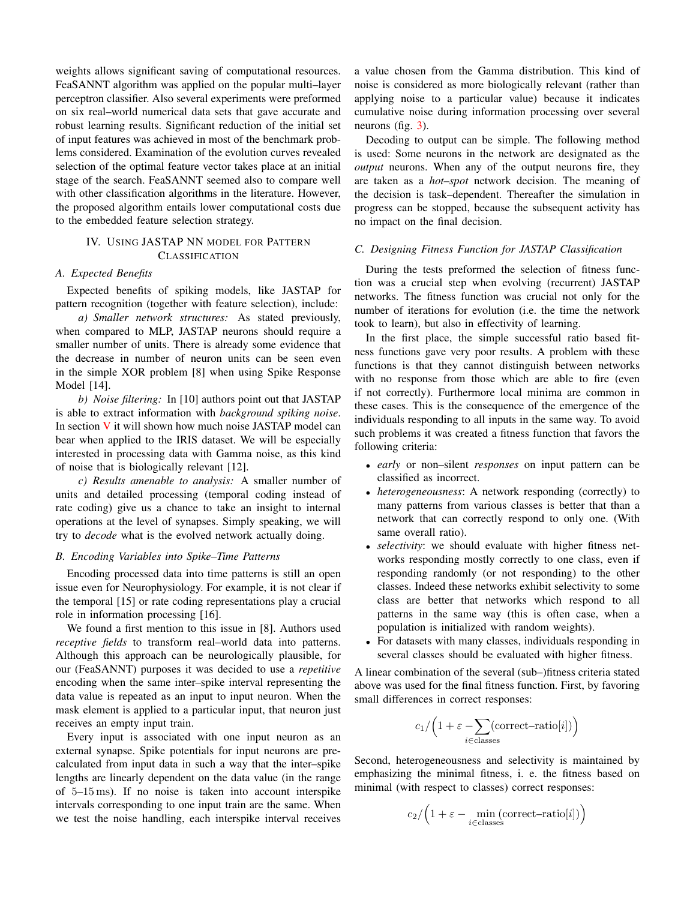weights allows significant saving of computational resources. FeaSANNT algorithm was applied on the popular multi–layer perceptron classifier. Also several experiments were preformed on six real–world numerical data sets that gave accurate and robust learning results. Significant reduction of the initial set of input features was achieved in most of the benchmark problems considered. Examination of the evolution curves revealed selection of the optimal feature vector takes place at an initial stage of the search. FeaSANNT seemed also to compare well with other classification algorithms in the literature. However, the proposed algorithm entails lower computational costs due to the embedded feature selection strategy.

#### <span id="page-4-0"></span>IV. USING JASTAP NN MODEL FOR PATTERN **CLASSIFICATION**

#### *A. Expected Benefits*

Expected benefits of spiking models, like JASTAP for pattern recognition (together with feature selection), include:

*a) Smaller network structures:* As stated previously, when compared to MLP, JASTAP neurons should require a smaller number of units. There is already some evidence that the decrease in number of neuron units can be seen even in the simple XOR problem [8] when using Spike Response Model [14].

*b) Noise filtering:* In [10] authors point out that JASTAP is able to extract information with *background spiking noise*. In section  $V$  it will shown how much noise JASTAP model can bear when applied to the IRIS dataset. We will be especially interested in processing data with Gamma noise, as this kind of noise that is biologically relevant [12].

*c) Results amenable to analysis:* A smaller number of units and detailed processing (temporal coding instead of rate coding) give us a chance to take an insight to internal operations at the level of synapses. Simply speaking, we will try to *decode* what is the evolved network actually doing.

#### <span id="page-4-1"></span>*B. Encoding Variables into Spike–Time Patterns*

Encoding processed data into time patterns is still an open issue even for Neurophysiology. For example, it is not clear if the temporal [15] or rate coding representations play a crucial role in information processing [16].

We found a first mention to this issue in [8]. Authors used *receptive fields* to transform real–world data into patterns. Although this approach can be neurologically plausible, for our (FeaSANNT) purposes it was decided to use a *repetitive* encoding when the same inter–spike interval representing the data value is repeated as an input to input neuron. When the mask element is applied to a particular input, that neuron just receives an empty input train.

Every input is associated with one input neuron as an external synapse. Spike potentials for input neurons are precalculated from input data in such a way that the inter–spike lengths are linearly dependent on the data value (in the range of 5–15 ms). If no noise is taken into account interspike intervals corresponding to one input train are the same. When we test the noise handling, each interspike interval receives a value chosen from the Gamma distribution. This kind of noise is considered as more biologically relevant (rather than applying noise to a particular value) because it indicates cumulative noise during information processing over several neurons (fig. [3\)](#page-5-2).

Decoding to output can be simple. The following method is used: Some neurons in the network are designated as the *output* neurons. When any of the output neurons fire, they are taken as a *hot–spot* network decision. The meaning of the decision is task–dependent. Thereafter the simulation in progress can be stopped, because the subsequent activity has no impact on the final decision.

#### *C. Designing Fitness Function for JASTAP Classification*

During the tests preformed the selection of fitness function was a crucial step when evolving (recurrent) JASTAP networks. The fitness function was crucial not only for the number of iterations for evolution (i.e. the time the network took to learn), but also in effectivity of learning.

In the first place, the simple successful ratio based fitness functions gave very poor results. A problem with these functions is that they cannot distinguish between networks with no response from those which are able to fire (even if not correctly). Furthermore local minima are common in these cases. This is the consequence of the emergence of the individuals responding to all inputs in the same way. To avoid such problems it was created a fitness function that favors the following criteria:

- *early* or non–silent *responses* on input pattern can be classified as incorrect.
- *heterogeneousness*: A network responding (correctly) to many patterns from various classes is better that than a network that can correctly respond to only one. (With same overall ratio).
- *selectivity*: we should evaluate with higher fitness networks responding mostly correctly to one class, even if responding randomly (or not responding) to the other classes. Indeed these networks exhibit selectivity to some class are better that networks which respond to all patterns in the same way (this is often case, when a population is initialized with random weights).
- For datasets with many classes, individuals responding in several classes should be evaluated with higher fitness.

A linear combination of the several (sub–)fitness criteria stated above was used for the final fitness function. First, by favoring small differences in correct responses:

$$
c_1 / \Big(1 + \varepsilon - \sum_{i \in \text{classes}} (\text{correct-ratio}[i])\Big)
$$

Second, heterogeneousness and selectivity is maintained by emphasizing the minimal fitness, i. e. the fitness based on minimal (with respect to classes) correct responses:

$$
c_2 / \Big(1 + \varepsilon - \min_{i \in \text{classes}} (\text{correct-ratio}[i])\Big)
$$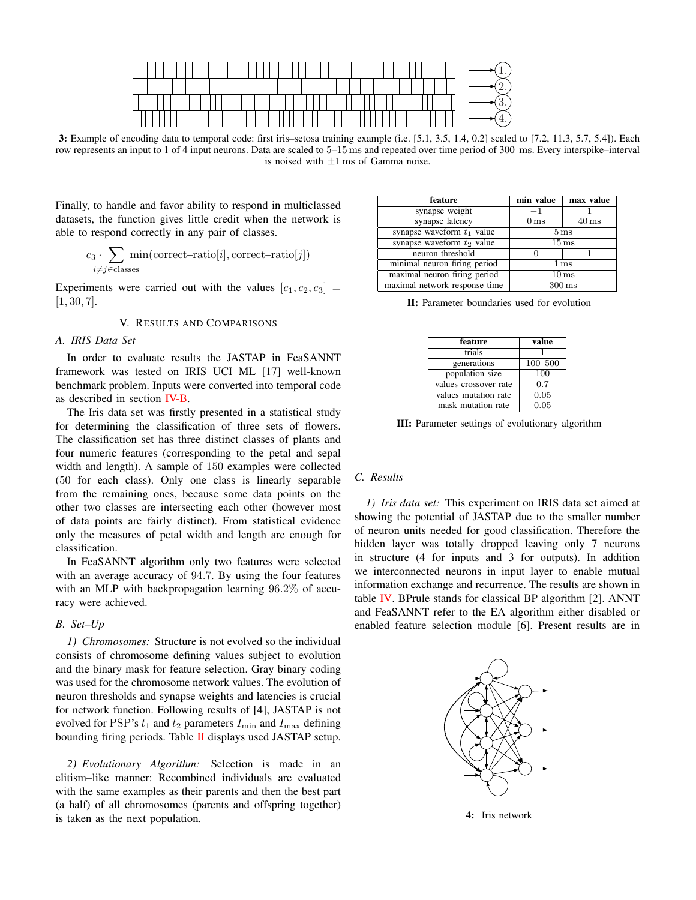

<span id="page-5-2"></span>3: Example of encoding data to temporal code: first iris–setosa training example (i.e. [5.1, 3.5, 1.4, 0.2] scaled to [7.2, 11.3, 5.7, 5.4]). Each row represents an input to 1 of 4 input neurons. Data are scaled to 5–15 ms and repeated over time period of 300 ms. Every interspike–interval is noised with  $\pm 1$  ms of Gamma noise.

Finally, to handle and favor ability to respond in multiclassed datasets, the function gives little credit when the network is able to respond correctly in any pair of classes.

$$
c_3 \cdot \!\!\! \sum_{i \neq j \in \text{classes}} \! \min(\text{correct-ratio}[i], \text{correct-ratio}[j])
$$

Experiments were carried out with the values  $[c_1, c_2, c_3] =$  $[1, 30, 7]$ .

#### V. RESULTS AND COMPARISONS

#### <span id="page-5-0"></span>*A. IRIS Data Set*

In order to evaluate results the JASTAP in FeaSANNT framework was tested on IRIS UCI ML [17] well-known benchmark problem. Inputs were converted into temporal code as described in section [IV-B.](#page-4-1)

The Iris data set was firstly presented in a statistical study for determining the classification of three sets of flowers. The classification set has three distinct classes of plants and four numeric features (corresponding to the petal and sepal width and length). A sample of 150 examples were collected (50 for each class). Only one class is linearly separable from the remaining ones, because some data points on the other two classes are intersecting each other (however most of data points are fairly distinct). From statistical evidence only the measures of petal width and length are enough for classification.

In FeaSANNT algorithm only two features were selected with an average accuracy of 94.7. By using the four features with an MLP with backpropagation learning 96.2% of accuracy were achieved.

#### *B. Set–Up*

*1) Chromosomes:* Structure is not evolved so the individual consists of chromosome defining values subject to evolution and the binary mask for feature selection. Gray binary coding was used for the chromosome network values. The evolution of neuron thresholds and synapse weights and latencies is crucial for network function. Following results of [4], JASTAP is not evolved for PSP's  $t_1$  and  $t_2$  parameters  $I_{\min}$  and  $I_{\max}$  defining bounding firing periods. Table [II](#page-5-3) displays used JASTAP setup.

*2) Evolutionary Algorithm:* Selection is made in an elitism–like manner: Recombined individuals are evaluated with the same examples as their parents and then the best part (a half) of all chromosomes (parents and offspring together) is taken as the next population.

| feature                       | min value           | max value          |
|-------------------------------|---------------------|--------------------|
| synapse weight                | $-1$                |                    |
| synapse latency               | 0 <sub>ms</sub>     | $40 \,\mathrm{ms}$ |
| synapse waveform $t_1$ value  | 5 <sub>ms</sub>     |                    |
| synapse waveform $t_2$ value  | $15 \,\mathrm{ms}$  |                    |
| neuron threshold              |                     |                    |
| minimal neuron firing period  | 1 <sub>ms</sub>     |                    |
| maximal neuron firing period  | 10 <sub>ms</sub>    |                    |
| maximal network response time | $300 \,\mathrm{ms}$ |                    |

<span id="page-5-3"></span>II: Parameter boundaries used for evolution

| feature               | value   |
|-----------------------|---------|
| trials                |         |
| generations           | 100-500 |
| population size       | 100     |
| values crossover rate | 0.7     |
| values mutation rate  | 0.05    |
| mask mutation rate    | 0.05    |

III: Parameter settings of evolutionary algorithm

#### <span id="page-5-1"></span>*C. Results*

*1) Iris data set:* This experiment on IRIS data set aimed at showing the potential of JASTAP due to the smaller number of neuron units needed for good classification. Therefore the hidden layer was totally dropped leaving only 7 neurons in structure (4 for inputs and 3 for outputs). In addition we interconnected neurons in input layer to enable mutual information exchange and recurrence. The results are shown in table [IV.](#page-6-1) BPrule stands for classical BP algorithm [2]. ANNT and FeaSANNT refer to the EA algorithm either disabled or enabled feature selection module [6]. Present results are in



4: Iris network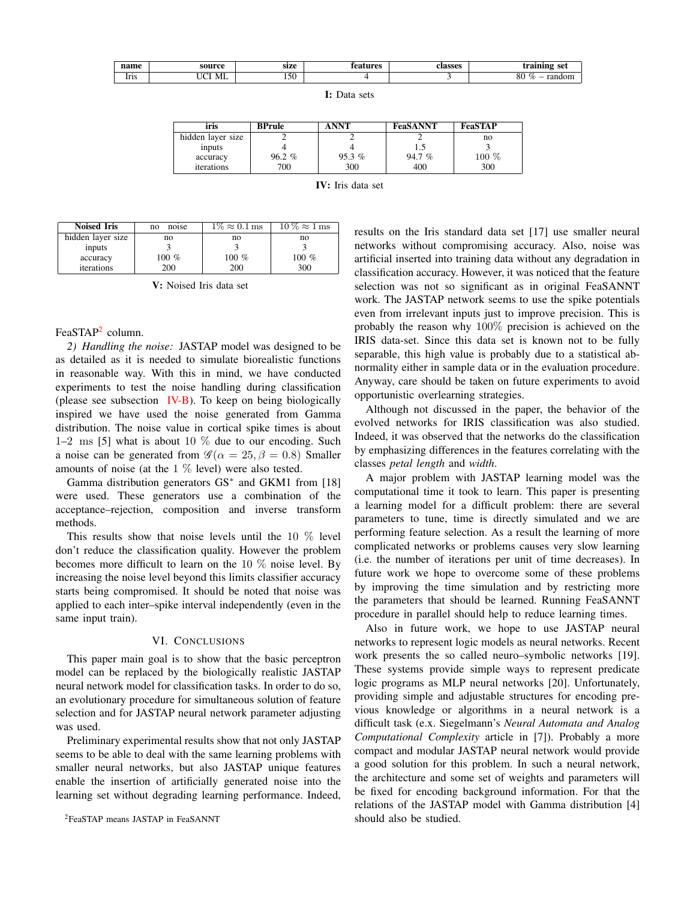| name                                      | source                                                   | size           | tures<br>. വവ | elgecac<br>лазэсэ | training set                                    |
|-------------------------------------------|----------------------------------------------------------|----------------|---------------|-------------------|-------------------------------------------------|
| lrıs<br>and the control of the control of | $\sim$ $\sim$<br>$ -$<br>и<br>19.ZH<br>$\overline{1111}$ | $\sim$<br>. 50 |               |                   | 80<br>$\sim$<br>$\cdots$<br>$\%$<br>чон.<br>.aı |

I: Data sets

| iris              | <b>BPrule</b> | <b>ANNT</b> | <b>FeaSANNT</b> | <b>FeaSTAP</b> |
|-------------------|---------------|-------------|-----------------|----------------|
| hidden layer size |               |             |                 | no             |
| inputs            |               |             | 1.5             |                |
| accuracy          | $96.2 \%$     | 95.3%       | 94.7%           | 100 %          |
| iterations        | 700           | 300         | 400             | 300            |

<span id="page-6-1"></span>

| <b>IV</b> : Iris data set |
|---------------------------|
|---------------------------|

| <b>Noised Iris</b> | noise<br>no | $1\% \approx 0.1$ ms | $10\% \approx 1$ ms |
|--------------------|-------------|----------------------|---------------------|
| hidden layer size  | no          | no                   | no                  |
| inputs             |             |                      |                     |
| accuracy           | 100 %       | $100\%$              | 100 $%$             |
| iterations         | <b>200</b>  | 200                  | 300                 |

V: Noised Iris data set

#### FeaSTAP<sup>[2](#page-6-2)</sup> column.

*2) Handling the noise:* JASTAP model was designed to be as detailed as it is needed to simulate biorealistic functions in reasonable way. With this in mind, we have conducted experiments to test the noise handling during classification (please see subsection [IV-B\)](#page-4-1). To keep on being biologically inspired we have used the noise generated from Gamma distribution. The noise value in cortical spike times is about 1–2 ms [5] what is about 10  $\%$  due to our encoding. Such a noise can be generated from  $\mathscr{G}(\alpha = 25, \beta = 0.8)$  Smaller amounts of noise (at the 1 % level) were also tested.

Gamma distribution generators GS<sup>∗</sup> and GKM1 from [18] were used. These generators use a combination of the acceptance–rejection, composition and inverse transform methods.

This results show that noise levels until the 10 % level don't reduce the classification quality. However the problem becomes more difficult to learn on the 10 % noise level. By increasing the noise level beyond this limits classifier accuracy starts being compromised. It should be noted that noise was applied to each inter–spike interval independently (even in the same input train).

#### VI. CONCLUSIONS

<span id="page-6-0"></span>This paper main goal is to show that the basic perceptron model can be replaced by the biologically realistic JASTAP neural network model for classification tasks. In order to do so, an evolutionary procedure for simultaneous solution of feature selection and for JASTAP neural network parameter adjusting was used.

Preliminary experimental results show that not only JASTAP seems to be able to deal with the same learning problems with smaller neural networks, but also JASTAP unique features enable the insertion of artificially generated noise into the learning set without degrading learning performance. Indeed, results on the Iris standard data set [17] use smaller neural networks without compromising accuracy. Also, noise was artificial inserted into training data without any degradation in classification accuracy. However, it was noticed that the feature selection was not so significant as in original FeaSANNT work. The JASTAP network seems to use the spike potentials even from irrelevant inputs just to improve precision. This is probably the reason why 100% precision is achieved on the IRIS data-set. Since this data set is known not to be fully separable, this high value is probably due to a statistical abnormality either in sample data or in the evaluation procedure. Anyway, care should be taken on future experiments to avoid opportunistic overlearning strategies.

Although not discussed in the paper, the behavior of the evolved networks for IRIS classification was also studied. Indeed, it was observed that the networks do the classification by emphasizing differences in the features correlating with the classes *petal length* and *width*.

A major problem with JASTAP learning model was the computational time it took to learn. This paper is presenting a learning model for a difficult problem: there are several parameters to tune, time is directly simulated and we are performing feature selection. As a result the learning of more complicated networks or problems causes very slow learning (i.e. the number of iterations per unit of time decreases). In future work we hope to overcome some of these problems by improving the time simulation and by restricting more the parameters that should be learned. Running FeaSANNT procedure in parallel should help to reduce learning times.

Also in future work, we hope to use JASTAP neural networks to represent logic models as neural networks. Recent work presents the so called neuro–symbolic networks [19]. These systems provide simple ways to represent predicate logic programs as MLP neural networks [20]. Unfortunately, providing simple and adjustable structures for encoding previous knowledge or algorithms in a neural network is a difficult task (e.x. Siegelmann's *Neural Automata and Analog Computational Complexity* article in [7]). Probably a more compact and modular JASTAP neural network would provide a good solution for this problem. In such a neural network, the architecture and some set of weights and parameters will be fixed for encoding background information. For that the relations of the JASTAP model with Gamma distribution [4] should also be studied.

<span id="page-6-2"></span><sup>2</sup>FeaSTAP means JASTAP in FeaSANNT